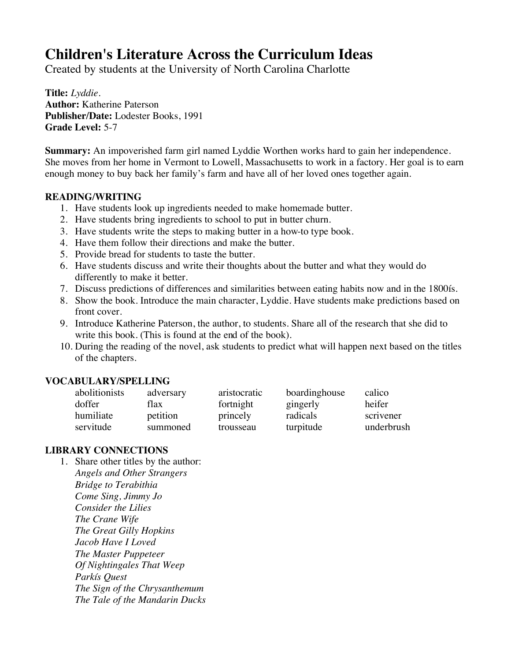# **Children's Literature Across the Curriculum Ideas**

Created by students at the University of North Carolina Charlotte

**Title:** *Lyddie.* **Author:** Katherine Paterson **Publisher/Date:** Lodester Books, 1991 **Grade Level:** 5-7

**Summary:** An impoverished farm girl named Lyddie Worthen works hard to gain her independence. She moves from her home in Vermont to Lowell, Massachusetts to work in a factory. Her goal is to earn enough money to buy back her family's farm and have all of her loved ones together again.

#### **READING/WRITING**

- 1. Have students look up ingredients needed to make homemade butter.
- 2. Have students bring ingredients to school to put in butter churn.
- 3. Have students write the steps to making butter in a how-to type book.
- 4. Have them follow their directions and make the butter.
- 5. Provide bread for students to taste the butter.
- 6. Have students discuss and write their thoughts about the butter and what they would do differently to make it better.
- 7. Discuss predictions of differences and similarities between eating habits now and in the 1800ís.
- 8. Show the book. Introduce the main character, Lyddie. Have students make predictions based on front cover.
- 9. Introduce Katherine Paterson, the author, to students. Share all of the research that she did to write this book. (This is found at the end of the book).
- 10. During the reading of the novel, ask students to predict what will happen next based on the titles of the chapters.

#### **VOCABULARY/SPELLING**

| abolitionists | adversary | aristocratic | boardinghouse | calico     |
|---------------|-----------|--------------|---------------|------------|
| doffer        | flax      | fortnight    | gingerly      | heifer     |
| humiliate     | petition  | princely     | radicals      | scrivener  |
| servitude     | summoned  | trousseau    | turpitude     | underbrush |

#### **LIBRARY CONNECTIONS**

1. Share other titles by the author: *Angels and Other Strangers Bridge to Terabithia Come Sing, Jimmy Jo Consider the Lilies The Crane Wife The Great Gilly Hopkins Jacob Have I Loved The Master Puppeteer Of Nightingales That Weep Parkís Quest The Sign of the Chrysanthemum The Tale of the Mandarin Ducks*